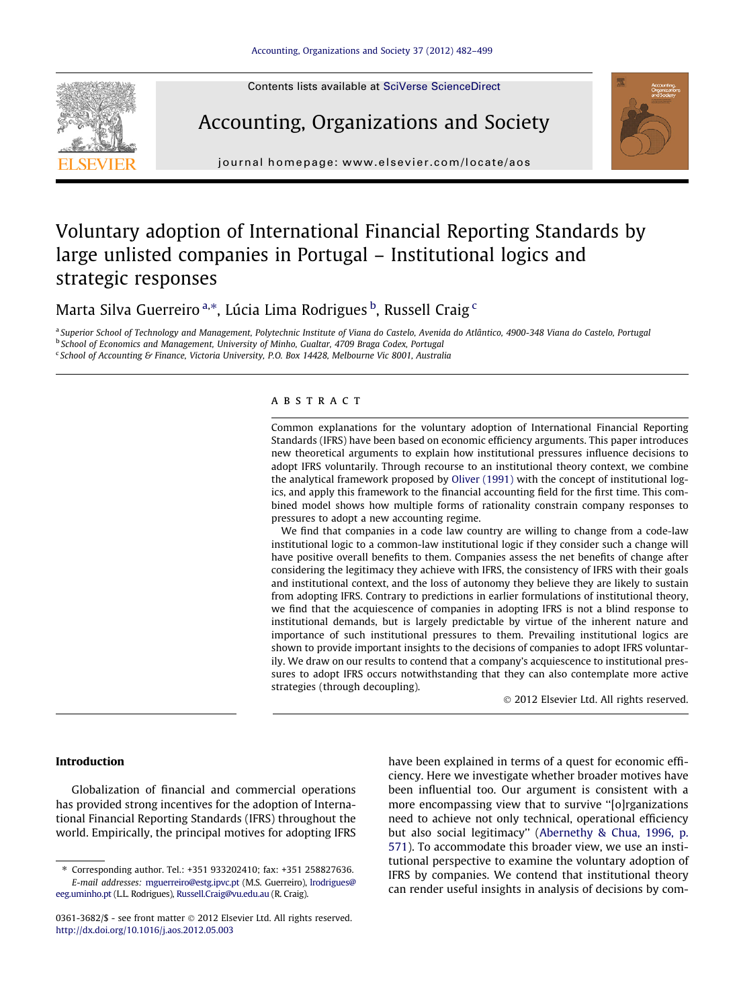

Contents lists available at [SciVerse ScienceDirect](http://www.sciencedirect.com/science/journal/03613682)

## Accounting, Organizations and Society



journal homepage: [www.elsevier.com/locate/aos](http://www.elsevier.com/locate/aos)

## Voluntary adoption of International Financial Reporting Standards by large unlisted companies in Portugal – Institutional logics and strategic responses

Marta Silva Guerreiro<sup>a,</sup>\*, Lúcia Lima Rodrigues <sup>b</sup>, Russell Craig <sup>c</sup>

a Superior School of Technology and Management. Polytechnic Institute of Viana do Castelo, Avenida do Atlântico, 4900-348 Viana do Castelo, Portugal **b School of Economics and Management, University of Minho, Gualtar, 4709 Braga Codex, Portugal** 

<sup>c</sup> School of Accounting & Finance, Victoria University, P.O. Box 14428, Melbourne Vic 8001, Australia

### **ABSTRACT**

Common explanations for the voluntary adoption of International Financial Reporting Standards (IFRS) have been based on economic efficiency arguments. This paper introduces new theoretical arguments to explain how institutional pressures influence decisions to adopt IFRS voluntarily. Through recourse to an institutional theory context, we combine the analytical framework proposed by [Oliver \(1991\)](#page--1-0) with the concept of institutional logics, and apply this framework to the financial accounting field for the first time. This combined model shows how multiple forms of rationality constrain company responses to pressures to adopt a new accounting regime.

We find that companies in a code law country are willing to change from a code-law institutional logic to a common-law institutional logic if they consider such a change will have positive overall benefits to them. Companies assess the net benefits of change after considering the legitimacy they achieve with IFRS, the consistency of IFRS with their goals and institutional context, and the loss of autonomy they believe they are likely to sustain from adopting IFRS. Contrary to predictions in earlier formulations of institutional theory, we find that the acquiescence of companies in adopting IFRS is not a blind response to institutional demands, but is largely predictable by virtue of the inherent nature and importance of such institutional pressures to them. Prevailing institutional logics are shown to provide important insights to the decisions of companies to adopt IFRS voluntarily. We draw on our results to contend that a company's acquiescence to institutional pressures to adopt IFRS occurs notwithstanding that they can also contemplate more active strategies (through decoupling).

- 2012 Elsevier Ltd. All rights reserved.

#### Introduction

Globalization of financial and commercial operations has provided strong incentives for the adoption of International Financial Reporting Standards (IFRS) throughout the world. Empirically, the principal motives for adopting IFRS have been explained in terms of a quest for economic efficiency. Here we investigate whether broader motives have been influential too. Our argument is consistent with a more encompassing view that to survive ''[o]rganizations need to achieve not only technical, operational efficiency but also social legitimacy'' ([Abernethy & Chua, 1996, p.](#page--1-0) [571\)](#page--1-0). To accommodate this broader view, we use an institutional perspective to examine the voluntary adoption of IFRS by companies. We contend that institutional theory can render useful insights in analysis of decisions by com-

<sup>⇑</sup> Corresponding author. Tel.: +351 933202410; fax: +351 258827636. E-mail addresses: [mguerreiro@estg.ipvc.pt](mailto:mguerreiro@estg.ipvc.pt) (M.S. Guerreiro), [lrodrigues@](mailto:lrodrigues@eeg.uminho.pt) [eeg.uminho.pt](mailto:lrodrigues@eeg.uminho.pt) (L.L. Rodrigues), [Russell.Craig@vu.edu.au](mailto:Russell.Craig@vu.edu.au) (R. Craig).

<sup>0361-3682/\$ -</sup> see front matter © 2012 Elsevier Ltd. All rights reserved. <http://dx.doi.org/10.1016/j.aos.2012.05.003>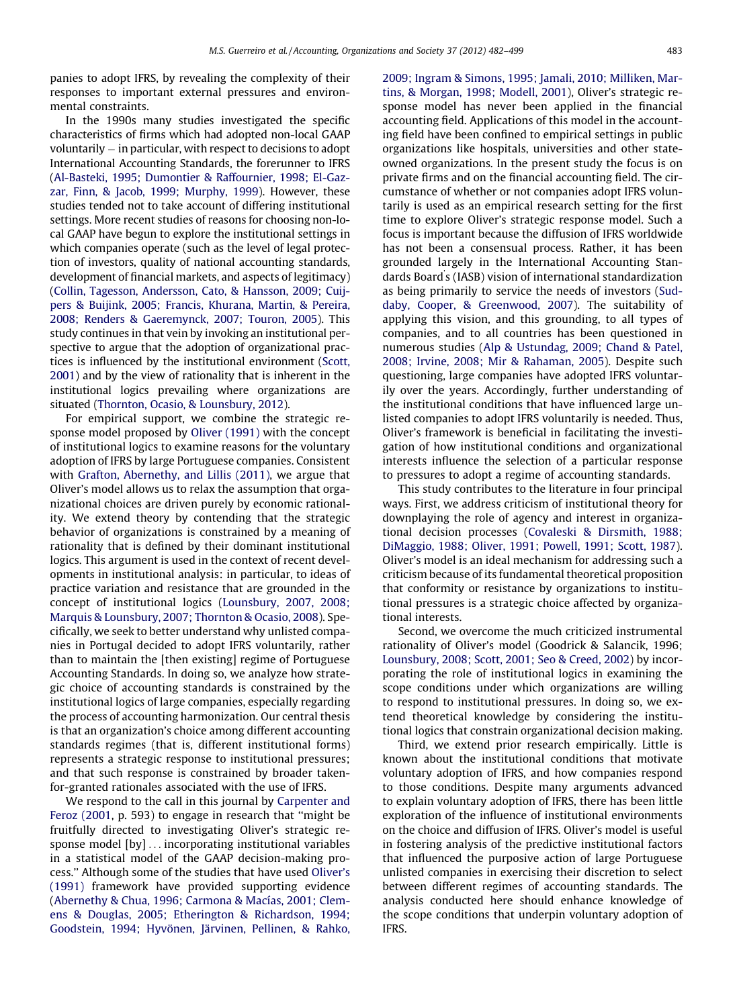panies to adopt IFRS, by revealing the complexity of their responses to important external pressures and environmental constraints.

In the 1990s many studies investigated the specific characteristics of firms which had adopted non-local GAAP voluntarily – in particular, with respect to decisions to adopt International Accounting Standards, the forerunner to IFRS ([Al-Basteki, 1995; Dumontier & Raffournier, 1998; El-Gaz](#page--1-0)[zar, Finn, & Jacob, 1999; Murphy, 1999](#page--1-0)). However, these studies tended not to take account of differing institutional settings. More recent studies of reasons for choosing non-local GAAP have begun to explore the institutional settings in which companies operate (such as the level of legal protection of investors, quality of national accounting standards, development of financial markets, and aspects of legitimacy) ([Collin, Tagesson, Andersson, Cato, & Hansson, 2009; Cuij](#page--1-0)[pers & Buijink, 2005; Francis, Khurana, Martin, & Pereira,](#page--1-0) [2008; Renders & Gaeremynck, 2007; Touron, 2005\)](#page--1-0). This study continues in that vein by invoking an institutional perspective to argue that the adoption of organizational practices is influenced by the institutional environment ([Scott,](#page--1-0) [2001](#page--1-0)) and by the view of rationality that is inherent in the institutional logics prevailing where organizations are situated [\(Thornton, Ocasio, & Lounsbury, 2012\)](#page--1-0).

For empirical support, we combine the strategic response model proposed by [Oliver \(1991\)](#page--1-0) with the concept of institutional logics to examine reasons for the voluntary adoption of IFRS by large Portuguese companies. Consistent with [Grafton, Abernethy, and Lillis \(2011\),](#page--1-0) we argue that Oliver's model allows us to relax the assumption that organizational choices are driven purely by economic rationality. We extend theory by contending that the strategic behavior of organizations is constrained by a meaning of rationality that is defined by their dominant institutional logics. This argument is used in the context of recent developments in institutional analysis: in particular, to ideas of practice variation and resistance that are grounded in the concept of institutional logics [\(Lounsbury, 2007, 2008;](#page--1-0) [Marquis & Lounsbury, 2007; Thornton & Ocasio, 2008\)](#page--1-0). Specifically, we seek to better understand why unlisted companies in Portugal decided to adopt IFRS voluntarily, rather than to maintain the [then existing] regime of Portuguese Accounting Standards. In doing so, we analyze how strategic choice of accounting standards is constrained by the institutional logics of large companies, especially regarding the process of accounting harmonization. Our central thesis is that an organization's choice among different accounting standards regimes (that is, different institutional forms) represents a strategic response to institutional pressures; and that such response is constrained by broader takenfor-granted rationales associated with the use of IFRS.

We respond to the call in this journal by [Carpenter and](#page--1-0) [Feroz \(2001](#page--1-0), p. 593) to engage in research that ''might be fruitfully directed to investigating Oliver's strategic response model [by] ... incorporating institutional variables in a statistical model of the GAAP decision-making process.'' Although some of the studies that have used [Oliver's](#page--1-0) [\(1991\)](#page--1-0) framework have provided supporting evidence ([Abernethy & Chua, 1996; Carmona & Macías, 2001; Clem](#page--1-0)[ens & Douglas, 2005; Etherington & Richardson, 1994;](#page--1-0) [Goodstein, 1994; Hyvönen, Järvinen, Pellinen, & Rahko,](#page--1-0) [2009; Ingram & Simons, 1995; Jamali, 2010; Milliken, Mar](#page--1-0)[tins, & Morgan, 1998; Modell, 2001\)](#page--1-0), Oliver's strategic response model has never been applied in the financial accounting field. Applications of this model in the accounting field have been confined to empirical settings in public organizations like hospitals, universities and other stateowned organizations. In the present study the focus is on private firms and on the financial accounting field. The circumstance of whether or not companies adopt IFRS voluntarily is used as an empirical research setting for the first time to explore Oliver's strategic response model. Such a focus is important because the diffusion of IFRS worldwide has not been a consensual process. Rather, it has been grounded largely in the International Accounting Standards Board' s (IASB) vision of international standardization as being primarily to service the needs of investors ([Sud](#page--1-0)[daby, Cooper, & Greenwood, 2007\)](#page--1-0). The suitability of applying this vision, and this grounding, to all types of companies, and to all countries has been questioned in numerous studies [\(Alp & Ustundag, 2009; Chand & Patel,](#page--1-0) [2008; Irvine, 2008; Mir & Rahaman, 2005](#page--1-0)). Despite such questioning, large companies have adopted IFRS voluntarily over the years. Accordingly, further understanding of the institutional conditions that have influenced large unlisted companies to adopt IFRS voluntarily is needed. Thus, Oliver's framework is beneficial in facilitating the investigation of how institutional conditions and organizational interests influence the selection of a particular response to pressures to adopt a regime of accounting standards.

This study contributes to the literature in four principal ways. First, we address criticism of institutional theory for downplaying the role of agency and interest in organizational decision processes [\(Covaleski & Dirsmith, 1988;](#page--1-0) [DiMaggio, 1988; Oliver, 1991; Powell, 1991; Scott, 1987](#page--1-0)). Oliver's model is an ideal mechanism for addressing such a criticism because of its fundamental theoretical proposition that conformity or resistance by organizations to institutional pressures is a strategic choice affected by organizational interests.

Second, we overcome the much criticized instrumental rationality of Oliver's model (Goodrick & Salancik, 1996; [Lounsbury, 2008; Scott, 2001; Seo & Creed, 2002](#page--1-0)) by incorporating the role of institutional logics in examining the scope conditions under which organizations are willing to respond to institutional pressures. In doing so, we extend theoretical knowledge by considering the institutional logics that constrain organizational decision making.

Third, we extend prior research empirically. Little is known about the institutional conditions that motivate voluntary adoption of IFRS, and how companies respond to those conditions. Despite many arguments advanced to explain voluntary adoption of IFRS, there has been little exploration of the influence of institutional environments on the choice and diffusion of IFRS. Oliver's model is useful in fostering analysis of the predictive institutional factors that influenced the purposive action of large Portuguese unlisted companies in exercising their discretion to select between different regimes of accounting standards. The analysis conducted here should enhance knowledge of the scope conditions that underpin voluntary adoption of IFRS.